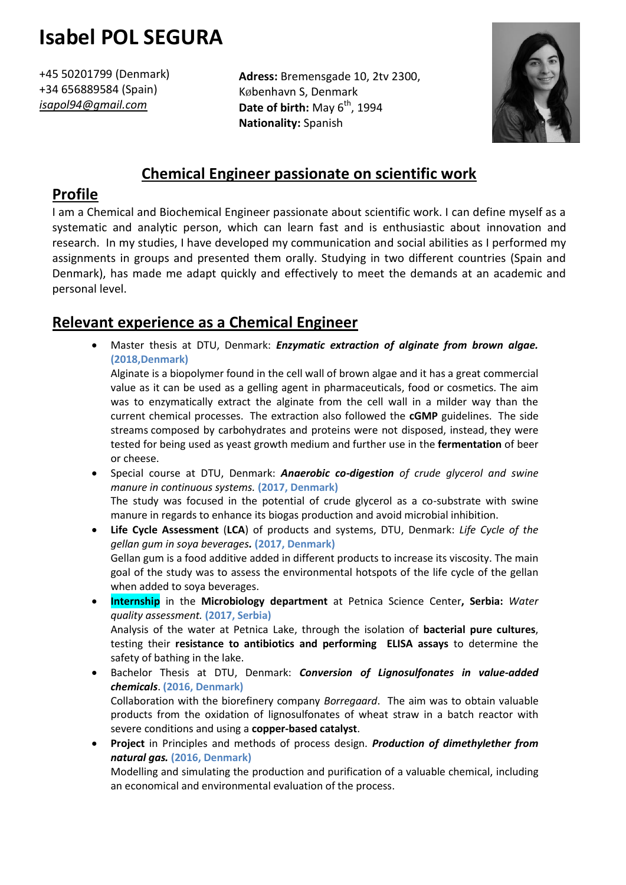# **Isabel POL SEGURA**

+45 50201799 (Denmark) +34 656889584 (Spain) *isapol94@gmail.com*

**Adress:** Bremensgade 10, 2tv 2300, København S, Denmark **Date of birth:** May  $6^{th}$ , 1994 **Nationality:** Spanish



# **Chemical Engineer passionate on scientific work**

## **Profile**

I am a Chemical and Biochemical Engineer passionate about scientific work. I can define myself as a systematic and analytic person, which can learn fast and is enthusiastic about innovation and research. In my studies, I have developed my communication and social abilities as I performed my assignments in groups and presented them orally. Studying in two different countries (Spain and Denmark), has made me adapt quickly and effectively to meet the demands at an academic and personal level.

# **Relevant experience as a Chemical Engineer**

 Master thesis at DTU, Denmark: *Enzymatic extraction of alginate from brown algae.* **(2018,Denmark)** 

Alginate is a biopolymer found in the cell wall of brown algae and it has a great commercial value as it can be used as a gelling agent in pharmaceuticals, food or cosmetics. The aim was to enzymatically extract the alginate from the cell wall in a milder way than the current chemical processes. The extraction also followed the **cGMP** guidelines. The side streams composed by carbohydrates and proteins were not disposed, instead, they were tested for being used as yeast growth medium and further use in the **fermentation** of beer or cheese.

- Special course at DTU, Denmark: *Anaerobic co-digestion of crude glycerol and swine manure in continuous systems.* **(2017, Denmark)** The study was focused in the potential of crude glycerol as a co-substrate with swine manure in regards to enhance its biogas production and avoid microbial inhibition.
- **Life Cycle Assessment** (**LCA**) of products and systems, DTU, Denmark: *Life Cycle of the gellan gum in soya beverages.* **(2017, Denmark)** Gellan gum is a food additive added in different products to increase its viscosity. The main goal of the study was to assess the environmental hotspots of the life cycle of the gellan when added to soya beverages.
- **Internship** in the **Microbiology department** at Petnica Science Center**, Serbia:** *Water quality assessment.* **(2017, Serbia)** Analysis of the water at Petnica Lake, through the isolation of **bacterial pure cultures**, testing their **resistance to antibiotics and performing ELISA assays** to determine the safety of bathing in the lake.
- Bachelor Thesis at DTU, Denmark: *Conversion of Lignosulfonates in value-added chemicals*. **(2016, Denmark)** Collaboration with the biorefinery company *Borregaard*. The aim was to obtain valuable products from the oxidation of lignosulfonates of wheat straw in a batch reactor with severe conditions and using a **copper-based catalyst**.
- **Project** in Principles and methods of process design. *Production of dimethylether from natural gas.* **(2016, Denmark)** Modelling and simulating the production and purification of a valuable chemical, including an economical and environmental evaluation of the process.